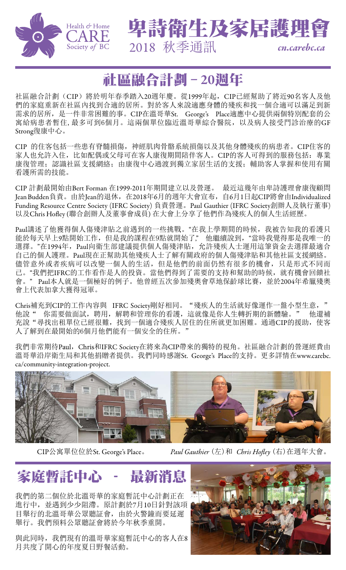

2018 秋季通訊 *<cn.carebc.ca>*

卑詩衛生及家居護理會

### 社區融合計劃 – 20週年

社區融合計劃(CIP)將於明年春季踏入20週年慶。從1999年起, CIP已經幫助了將近90名客人及他 們的家庭重新在社區內找到合適的居所。對於客人來說適應身體的殘疾和找一個合適可以滿足到新 需求的居所,是一件非常困難的事。CIP在溫哥華St. George's Place適應中心提供兩個特別配套的公 寓給病患者暫住,最多可到6個月。這兩個單位臨近溫哥華綜合醫院,以及病人接受門診治療的GF Strong復康中心。

CIP 的住客包括一些患有脊髓損傷,神經肌肉骨骼系統損傷以及其他身體殘疾的病患者。CIP住客的 家人也允許入住,比如配偶或父母可在客人康復期間陪伴客人。CIP的客人可得到的服務包括: 專業 康復管理;認識社區支援網絡;由康復中心過渡到獨立家居生活的支援;輔助客人掌握和使用有關 看護所需的技能。

CIP 計劃最開始由Bert Forman 在1999-2011年期間建立以及營運。 最近這幾年由卑詩護理會康復顧問 Jean Budden負責。由於Jean的退休,在2018年6月的週年大會宣布,自6月1日起CIP將會由[Individualized](http://www.ifrcsociety.org/) [Funding Resource Centre Society \(IFRC Society\)](http://www.ifrcsociety.org/) 負責營運。Paul Gauthier (IFRC Society創辦人及執行董事) 以及Chris Hofley (聯合創辦人及董事會成員) 在大會上分享了他們作為殘疾人的個人生活經歷。

Paul講述了他獲得個人傷殘津貼之前遇到的一些挑戰。"在我上學期間的時候,我被告知我的看護只 能於每天早上9點開始工作,但是我的課程在9點就開始了," 他繼續說到, "當時我覺得那是我唯一的 選擇。"在1994年, Paul向衛生部建議提供個人傷殘津貼, 允許殘疾人士運用這筆資金去選擇最適合 自己的個人護理。Paul現在正幫助其他殘疾人士了解有關政府的個人傷殘津貼和其他社區支援網絡。 儘管意外或者疾病可以改變一個人的生活,但是他們的前面仍然有很多的機會,只是形式不同而 已。"我們把IFRC的工作看作是人的投資。當他們得到了需要的支持和幫助的時候,就有機會回饋社 會。" Paul本人就是一個極好的例子。他曾經五次參加殘奧會草地保齡球比賽,並於2004年希臘殘奧 會上代表加拿大獲得冠軍。

Chris補充到CIP的工作內容與 IFRC Society剛好相同。"殘疾人的生活就好像運作一盤小型生意, 他說" 你需要做面試,聘用,解聘和管理你的看護,這就像是你人生轉折期的新體驗。" 他還補 充說"尋找出租單位已經很難,找到一個適合殘疾人居住的住所就更加困難。通過CIP的援助,使客 人了解到在最開始的6個月他們能有一個安全的住所。

我們非常期待Paul, Chris和IFRC Society在將來為CIP帶來的獨特的視角。社區融合計劃的營運經費由 溫哥華沿岸衛生局和其他捐贈者提供。我們同時感謝St. George's Place的支持。更多詳情在[www.carebc.](https://www.carebc.ca/community-integration-project.html) [ca/community-integration-project.](https://www.carebc.ca/community-integration-project.html)



CIP公寓單位位於St. George's Place。 *Paul Gauthier* (左)和 *Chris Hofley* (右)在週年大會。

### 家庭暫託中心 - 最新消息

我們的第二個位於北溫哥華的家庭暫託中心計劃正在 進行中,並遇到少少阻滯。原計劃於7月10日針對該項 目舉行的北溫哥華公眾聽証會,由於火警鐘而要延遲 舉行。我們預料公眾聽証會將於今年秋季重開。

與此同時,我們現有的溫哥華家庭暫託中心的客人在8 月共度了開心的年度夏日野餐活動。

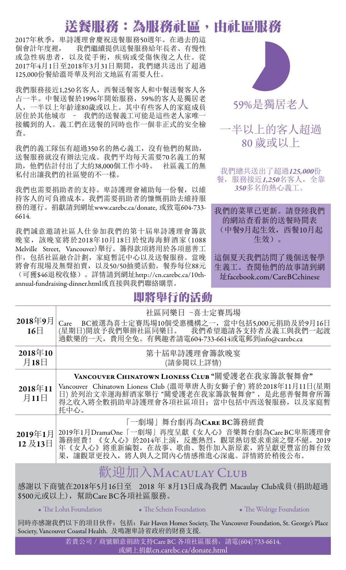## 送餐服務:為服務社區,由社區服務

2017年秋季,卑詩護理會慶祝送餐服務50週年。在過去的這 個會計年度裡, 我們繼續提供送餐服務給年長者、有慢性 或急性病患者,以及從手術,疾病或受傷恢復之人仕。從 2017年4月1日至2018年3月31日期間,我們總共送出了超過 125,000份餐給溫哥華及列治文地區有需要人仕。

我們服務接近1,250名客人,西餐送餐客人和中餐送餐客人各 占一半。中餐送餐於1996年開始服務,59%的客人是獨居老 人,一半以上年齡達80歲或以上。其中有些客人的家庭成員 居住於其他城市 – 我們的送餐義工可能是這些老人家唯一 接觸到的人。義工們在送餐的同時也作一個非正式的安全檢 查。

我們的義工隊伍有超過350名的熱心義工,沒有他們的幫助, 送餐服務就沒有辦法完成。我們平均每天需要70名義工的幫 助,他們估計付出了大約38,000個工作小時。 社區義工的無 私付出讓我們的社區變的不一樣。

我們也需要捐助者的支持。卑詩護理會補助每一份餐,以維 持客人的可負擔成本。我們需要捐助者的慷慨捐助去維持服 務的運行。捐獻請到網址[www.carebc.ca/donate,](https://www.carebc.ca/donate.html) 或致電604-733- 6614.

我們誠意邀請社區人仕參加我們的第十屆卑詩護理會籌款 晚宴,該晚宴將於2018年10月18日於悅海海鮮酒家(1088 Melville Street, Vancouver)舉行。籌得款項將用於各項慈善工 作,包括社區融合計劃,家庭暫託中心以及送餐服務。當晚 將會有現場及無聲拍賣,以及50/50抽獎活動。餐券每位88元 (可獲\$46退稅收條)。詳情請到網址[http://cn.carebc.ca/10th](http://cn.carebc.ca/10th-annual-fundraising-dinner.html)[annual-fundraising-dinner.html](http://cn.carebc.ca/10th-annual-fundraising-dinner.html)或直接與我們聯絡購票。

### 即將舉行的活動



59%是獨居老人

#### 一半以上的客人超過 80 歲或以上

我們總共送出了超過*125,000*份 餐,服務接近*1,250*名客人,全靠 *350*多名的熱心義工。

我們的菜單已更新。請登陸我們 的網站查看新的送餐時間表 (中餐9月起生效,西餐10月起 生效)。

這個夏天我們訪問了幾個送餐學 生義工。查閱他們的故事請到網 址facebook.com/CareBCchinese

| 2018年9月<br>$16\Box$                                                                                                                                                                        | 社區同樂日 -喜士定賽馬場<br>BC被選為喜士定賽馬場10個受惠機構之一, 當中包括5,000元捐助及於9月16日<br>Care<br>(星期日)開放予我們舉辦社區同樂日。 我們希望邀請各支持者及義工與我們一起渡<br>過歡樂的一天, 費用全免。有興趣者請電604-733-6614或電郵到info@carebc.ca                                            |
|--------------------------------------------------------------------------------------------------------------------------------------------------------------------------------------------|--------------------------------------------------------------------------------------------------------------------------------------------------------------------------------------------------------------|
| $2018 \text{ }^{\text{#}}10$<br>月18日                                                                                                                                                       | 第十屆卑詩護理會籌款晚宴<br>(請參閱以上詳情)                                                                                                                                                                                    |
| $2018 \text{#}11$<br>月11日                                                                                                                                                                  | VANCOUVER CHINATOWN LIONESS CLUB "關愛護老在我家籌款餐舞會"<br>Vancouver Chinatown Lioness Club (溫哥華唐人街女獅子會) 將於2018年11月11日(星期<br>日)於列治文幸運海鮮酒家舉行"關愛護老在我家籌款餐舞會",是此慈善餐舞會所籌<br>得之收入將全數捐助卑詩護理會各項社區項目;當中包括中西送餐服務,以及家庭暫<br>托中心。 |
| 2019年1月<br>12及13日                                                                                                                                                                          | 「一劇場」舞台劇再為CARE BC籌務經費<br>2019年1月DramaOne「一劇場」再度呈獻《女人心》音樂舞台劇為Care BC卑斯護理會<br>籌務經費!《女人心》於2014年上演,反應熱烈,觀眾熱切要求重演之聲不絕。2019<br>年《女人心》將重新編製, 在故事、歌曲、製作加入新原素, 將呈獻更豐富的舞台效<br>果, 讓觀眾更投入, 將人與人之間內心情感推進心深處。詳情將於稍後公布。     |
| 歡迎加入MACAULAY CLUB<br>感謝以下商號在2018年5月16日至 2018 年 8月13日成為我們 Macaulay Club成員(捐助超過<br>\$500元或以上), 幫助Care BC各項社區服務。<br>• The Wolrige Foundation<br>• The Lohn Foundation • The Schein Foundation |                                                                                                                                                                                                              |

同時亦感謝我們以下的項目伙伴: 包括: Fair Haven Homes Society, The Vancouver Foundation, St. George's Place Society, Vancouver Coastal Health. 及鳴謝卑詩省政府的財務支援.

> 若貴公司 / 商號願意捐助支持Care BC 各項社區服務, 請電(604) 733-6614, 或網上捐獻cn.carebc.ca/donate.html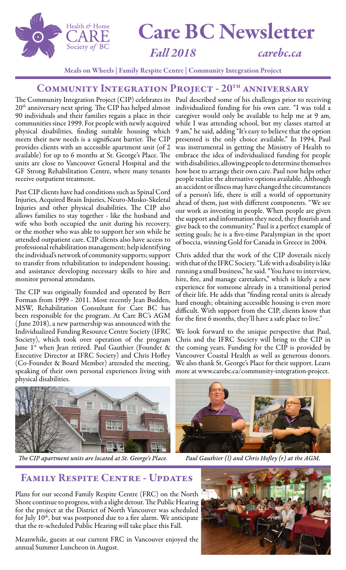

# Care BC Newsletter

#### *Fall 2018 [carebc.ca](http://www.carebc.ca)*

Meals on Wheels | Family Respite Centre | Community Integration Project

#### COMMUNITY INTEGRATION PROJECT - 20<sup>TH</sup> ANNIVERSARY

The Community Integration Project (CIP) celebrates its 20<sup>th</sup> anniversary next spring. The CIP has helped almost 90 individuals and their families regain a place in their communities since 1999. For people with newly acquired physical disabilities, finding suitable housing which meets their new needs is a significant barrier. The CIP provides clients with an accessible apartment unit (of 2 available) for up to 6 months at St. George's Place. The units are close to Vancouver General Hospital and the GF Strong Rehabilitation Centre, where many tenants receive outpatient treatment.

Past CIP clients have had conditions such as Spinal Cord Injuries, Acquired Brain Injuries, Neuro-Musko-Skeletal Injuries and other physical disabilities. The CIP also allows families to stay together - like the husband and wife who both occupied the unit during his recovery, or the mother who was able to support her son while he attended outpatient care. CIP clients also have access to professional rehabilitation management; help identifying the individual's network of community supports; support to transfer from rehabilitation to independent housing; and assistance developing necessary skills to hire and monitor personal attendants.

The CIP was originally founded and operated by Bert Forman from 1999 - 2011. Most recently Jean Budden, MSW, Rehabilitation Consultant for Care BC has been responsible for the program. At Care BC's AGM ( June 2018), a new partnership was announced with the [Individualized Funding Resource Centre Society \(IFRC](http://www.ifrcsociety.org)  [Society\)](http://www.ifrcsociety.org), which took over operation of the program June  $1^{st}$  when Jean retired. Paul Gauthier (Founder & Executive Director at IFRC Society) and Chris Hofley (Co-Founder & Board Member) attended the meeting, speaking of their own personal experiences living with physical disabilities.

Paul described some of his challenges prior to receiving individualized funding for his own care. "I was told a caregiver would only be available to help me at 9 am, while I was attending school, but my classes started at 9 am," he said, adding "It's easy to believe that the option presented is the only choice available." In 1994, Paul was instrumental in getting the Ministry of Health to embrace the idea of individualized funding for people with disabilities, allowing people to determine themselves how best to arrange their own care. Paul now helps other people realize the alternative options available. Although an accident or illness may have changed the circumstances of a person's life, there is still a world of opportunity ahead of them, just with different components. "We see our work as investing in people. When people are given the support and information they need, they flourish and give back to the community." Paul is a perfect example of setting goals; he is a five-time Paralympian in the sport of boccia, winning Gold for Canada in Greece in 2004.

Chris added that the work of the CIP dovetails nicely with that of the IFRC Society. "Life with a disability is like running a small business," he said. "You have to interview, hire, fire, and manage caretakers," which is likely a new experience for someone already in a transitional period of their life. He adds that "finding rental units is already hard enough; obtaining accessible housing is even more difficult. With support from the CIP, clients know that for the first 6 months, they'll have a safe place to live."

We look forward to the unique perspective that Paul, Chris and the IFRC Society will bring to the CIP in the coming years. Funding for the CIP is provided by Vancouver Coastal Health as well as generous donors. We also thank St. George's Place for their support. Learn more at [www.carebc.ca/community-integration-project.](http://www.carebc.ca/community-integration-project)



*The CIP apartment units are located at St. George's Place. Paul Gauthier (l) and Chris Hofley (r) at the AGM.*



#### Family Respite Centre - Updates

Plans for our second Family Respite Centre (FRC) on the North Shore continue to progress, with a slight detour. The Public Hearing for the project at the District of North Vancouver was scheduled for July  $10<sup>th</sup>$ , but was postponed due to a fire alarm. We anticipate that the re-scheduled Public Hearing will take place this Fall.

Meanwhile, guests at our current FRC in Vancouver enjoyed the annual Summer Luncheon in August.